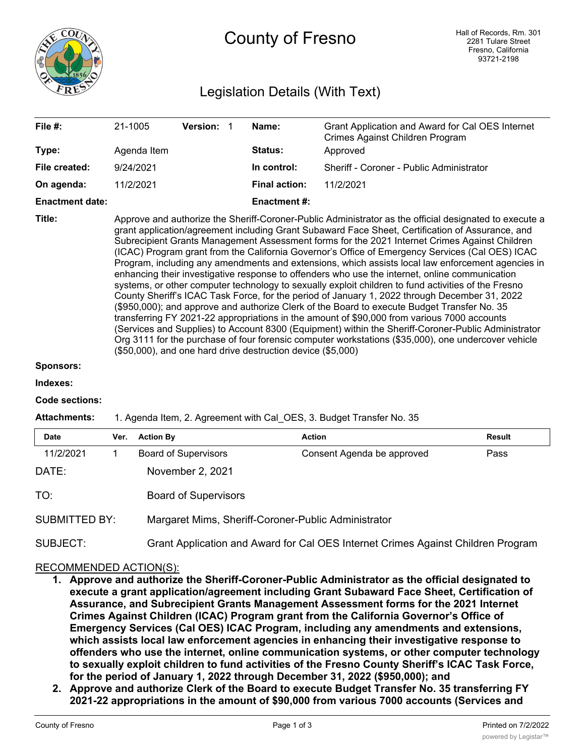

# Legislation Details (With Text)

| File #:                | 21-1005                                                                                                                                                                                                                                                                                                                                                                                                                                                                                                                                                                                                                                                                                                                                                                                                                                                                                                                                                                                                                                                                                                                                                                                                                                                                                                  | <b>Version:</b> |  | Name:                | Grant Application and Award for Cal OES Internet<br>Crimes Against Children Program |  |  |  |
|------------------------|----------------------------------------------------------------------------------------------------------------------------------------------------------------------------------------------------------------------------------------------------------------------------------------------------------------------------------------------------------------------------------------------------------------------------------------------------------------------------------------------------------------------------------------------------------------------------------------------------------------------------------------------------------------------------------------------------------------------------------------------------------------------------------------------------------------------------------------------------------------------------------------------------------------------------------------------------------------------------------------------------------------------------------------------------------------------------------------------------------------------------------------------------------------------------------------------------------------------------------------------------------------------------------------------------------|-----------------|--|----------------------|-------------------------------------------------------------------------------------|--|--|--|
| Type:                  | Agenda Item                                                                                                                                                                                                                                                                                                                                                                                                                                                                                                                                                                                                                                                                                                                                                                                                                                                                                                                                                                                                                                                                                                                                                                                                                                                                                              |                 |  | <b>Status:</b>       | Approved                                                                            |  |  |  |
| File created:          | 9/24/2021                                                                                                                                                                                                                                                                                                                                                                                                                                                                                                                                                                                                                                                                                                                                                                                                                                                                                                                                                                                                                                                                                                                                                                                                                                                                                                |                 |  | In control:          | Sheriff - Coroner - Public Administrator                                            |  |  |  |
| On agenda:             | 11/2/2021                                                                                                                                                                                                                                                                                                                                                                                                                                                                                                                                                                                                                                                                                                                                                                                                                                                                                                                                                                                                                                                                                                                                                                                                                                                                                                |                 |  | <b>Final action:</b> | 11/2/2021                                                                           |  |  |  |
| <b>Enactment date:</b> |                                                                                                                                                                                                                                                                                                                                                                                                                                                                                                                                                                                                                                                                                                                                                                                                                                                                                                                                                                                                                                                                                                                                                                                                                                                                                                          |                 |  | Enactment #:         |                                                                                     |  |  |  |
| Title:                 | Approve and authorize the Sheriff-Coroner-Public Administrator as the official designated to execute a<br>grant application/agreement including Grant Subaward Face Sheet, Certification of Assurance, and<br>Subrecipient Grants Management Assessment forms for the 2021 Internet Crimes Against Children<br>(ICAC) Program grant from the California Governor's Office of Emergency Services (Cal OES) ICAC<br>Program, including any amendments and extensions, which assists local law enforcement agencies in<br>enhancing their investigative response to offenders who use the internet, online communication<br>systems, or other computer technology to sexually exploit children to fund activities of the Fresno<br>County Sheriff's ICAC Task Force, for the period of January 1, 2022 through December 31, 2022<br>(\$950,000); and approve and authorize Clerk of the Board to execute Budget Transfer No. 35<br>transferring FY 2021-22 appropriations in the amount of \$90,000 from various 7000 accounts<br>(Services and Supplies) to Account 8300 (Equipment) within the Sheriff-Coroner-Public Administrator<br>Org 3111 for the purchase of four forensic computer workstations (\$35,000), one undercover vehicle<br>(\$50,000), and one hard drive destruction device (\$5,000) |                 |  |                      |                                                                                     |  |  |  |

### **Sponsors:**

**Indexes:**

### **Code sections:**

### **Attachments:** 1. Agenda Item, 2. Agreement with Cal\_OES, 3. Budget Transfer No. 35

| <b>Date</b>          | Ver. | <b>Action By</b>                                                                 | Action                     | Result |  |  |  |
|----------------------|------|----------------------------------------------------------------------------------|----------------------------|--------|--|--|--|
| 11/2/2021            |      | <b>Board of Supervisors</b>                                                      | Consent Agenda be approved | Pass   |  |  |  |
| DATE:                |      | November 2, 2021                                                                 |                            |        |  |  |  |
| TO:                  |      | <b>Board of Supervisors</b>                                                      |                            |        |  |  |  |
| <b>SUBMITTED BY:</b> |      | Margaret Mims, Sheriff-Coroner-Public Administrator                              |                            |        |  |  |  |
| SUBJECT:             |      | Grant Application and Award for Cal OES Internet Crimes Against Children Program |                            |        |  |  |  |

# RECOMMENDED ACTION(S):

- **1. Approve and authorize the Sheriff-Coroner-Public Administrator as the official designated to execute a grant application/agreement including Grant Subaward Face Sheet, Certification of Assurance, and Subrecipient Grants Management Assessment forms for the 2021 Internet Crimes Against Children (ICAC) Program grant from the California Governor's Office of Emergency Services (Cal OES) ICAC Program, including any amendments and extensions, which assists local law enforcement agencies in enhancing their investigative response to offenders who use the internet, online communication systems, or other computer technology to sexually exploit children to fund activities of the Fresno County Sheriff's ICAC Task Force, for the period of January 1, 2022 through December 31, 2022 (\$950,000); and**
- **2. Approve and authorize Clerk of the Board to execute Budget Transfer No. 35 transferring FY 2021-22 appropriations in the amount of \$90,000 from various 7000 accounts (Services and**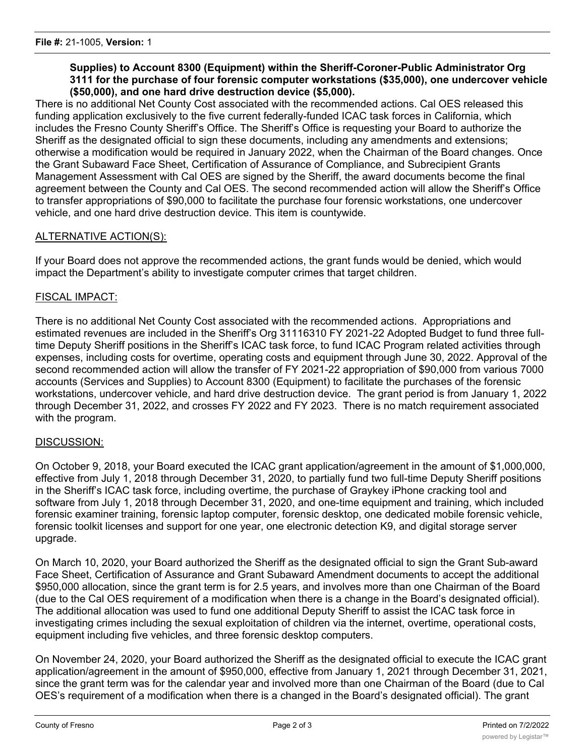# **Supplies) to Account 8300 (Equipment) within the Sheriff-Coroner-Public Administrator Org 3111 for the purchase of four forensic computer workstations (\$35,000), one undercover vehicle (\$50,000), and one hard drive destruction device (\$5,000).**

There is no additional Net County Cost associated with the recommended actions. Cal OES released this funding application exclusively to the five current federally-funded ICAC task forces in California, which includes the Fresno County Sheriff's Office. The Sheriff's Office is requesting your Board to authorize the Sheriff as the designated official to sign these documents, including any amendments and extensions; otherwise a modification would be required in January 2022, when the Chairman of the Board changes. Once the Grant Subaward Face Sheet, Certification of Assurance of Compliance, and Subrecipient Grants Management Assessment with Cal OES are signed by the Sheriff, the award documents become the final agreement between the County and Cal OES. The second recommended action will allow the Sheriff's Office to transfer appropriations of \$90,000 to facilitate the purchase four forensic workstations, one undercover vehicle, and one hard drive destruction device. This item is countywide.

# ALTERNATIVE ACTION(S):

If your Board does not approve the recommended actions, the grant funds would be denied, which would impact the Department's ability to investigate computer crimes that target children.

# FISCAL IMPACT:

There is no additional Net County Cost associated with the recommended actions. Appropriations and estimated revenues are included in the Sheriff's Org 31116310 FY 2021-22 Adopted Budget to fund three fulltime Deputy Sheriff positions in the Sheriff's ICAC task force, to fund ICAC Program related activities through expenses, including costs for overtime, operating costs and equipment through June 30, 2022. Approval of the second recommended action will allow the transfer of FY 2021-22 appropriation of \$90,000 from various 7000 accounts (Services and Supplies) to Account 8300 (Equipment) to facilitate the purchases of the forensic workstations, undercover vehicle, and hard drive destruction device. The grant period is from January 1, 2022 through December 31, 2022, and crosses FY 2022 and FY 2023. There is no match requirement associated with the program.

# DISCUSSION:

On October 9, 2018, your Board executed the ICAC grant application/agreement in the amount of \$1,000,000, effective from July 1, 2018 through December 31, 2020, to partially fund two full-time Deputy Sheriff positions in the Sheriff's ICAC task force, including overtime, the purchase of Graykey iPhone cracking tool and software from July 1, 2018 through December 31, 2020, and one-time equipment and training, which included forensic examiner training, forensic laptop computer, forensic desktop, one dedicated mobile forensic vehicle, forensic toolkit licenses and support for one year, one electronic detection K9, and digital storage server upgrade.

On March 10, 2020, your Board authorized the Sheriff as the designated official to sign the Grant Sub-award Face Sheet, Certification of Assurance and Grant Subaward Amendment documents to accept the additional \$950,000 allocation, since the grant term is for 2.5 years, and involves more than one Chairman of the Board (due to the Cal OES requirement of a modification when there is a change in the Board's designated official). The additional allocation was used to fund one additional Deputy Sheriff to assist the ICAC task force in investigating crimes including the sexual exploitation of children via the internet, overtime, operational costs, equipment including five vehicles, and three forensic desktop computers.

On November 24, 2020, your Board authorized the Sheriff as the designated official to execute the ICAC grant application/agreement in the amount of \$950,000, effective from January 1, 2021 through December 31, 2021, since the grant term was for the calendar year and involved more than one Chairman of the Board (due to Cal OES's requirement of a modification when there is a changed in the Board's designated official). The grant